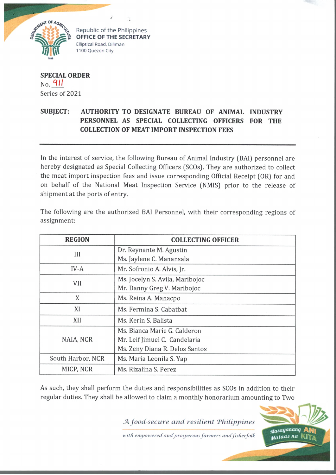

Republic of the Philippines **OFFICE OF THE SECRETARY** Elliptical Road, Diliman 1100 Quezon City

**SPECIAL ORDER**  $_{\text{No}}$  911 Series of 2021

## **SUBJECT: AUTHORITY TO DESIGNATE BUREAU OF ANIMAL INDUSTRY PERSONNEL AS SPECIAL COLLECTING OFFICERS FOR THE COLLECTION OF MEAT IMPORT INSPECTION FEES**

In the interest of service, the following Bureau of Animal Industry (BAI) personnel are hereby designated as Special Collecting Officers (SCOs). They are authorized to collect the meat import inspection fees and issue corresponding Official Receipt (OR) for and on behalf of the National Meat Inspection Service (NMIS) prior to the release of shipment at the ports of entry.

| <b>REGION</b>     | <b>COLLECTING OFFICER</b>       |
|-------------------|---------------------------------|
| III               | Dr. Reynante M. Agustin         |
|                   | Ms. Jaylene C. Manansala        |
| $IV-A$            | Mr. Sofronio A. Alvis, Jr.      |
| VII               | Ms. Jocelyn S. Avila, Maribojoc |
|                   | Mr. Danny Greg V. Maribojoc     |
| X                 | Ms. Reina A. Manacpo            |
| XI                | Ms. Fermina S. Cabatbat         |
| XII               | Ms. Kerin S. Balista            |
| NAIA, NCR         | Ms. Bianca Marie G. Calderon    |
|                   | Mr. Leif Jimuel C. Candelaria   |
|                   | Ms. Zeny Diana R. Delos Santos  |
| South Harbor, NCR | Ms. Maria Leonila S. Yap        |
| MICP, NCR         | Ms. Rizalina S. Perez           |

The following are the authorized BAI Personnel, with their corresponding regions of assignment:

As such, they shall perform the duties and responsibilities as SCOs in addition to their regular duties. They shall be allowed to claim a monthly honorarium amounting to Two

*SA food-secure a n d resilient T hilipp ines*

with empowered and prosperous farmers and fisherfolk